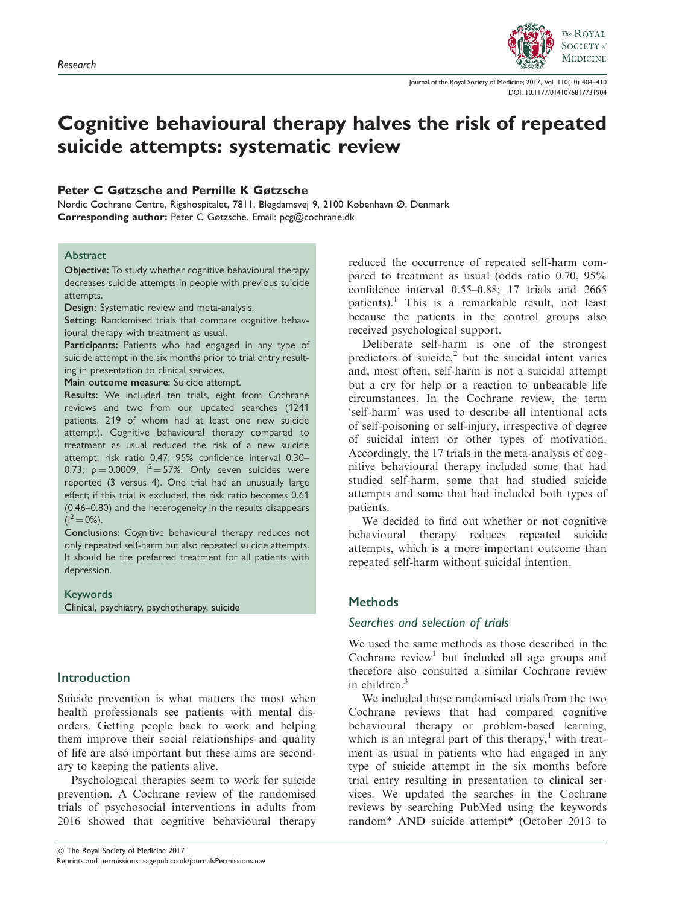

Journal of the Royal Society of Medicine; 2017, Vol. 110(10) 404–410 [DOI: 10.1177/0141076817731904](https://doi.org/10.1177/0141076817731904)

# Cognitive behavioural therapy halves the risk of repeated suicide attempts: systematic review

## Peter C Gøtzsche and Pernille K Gøtzsche

Nordic Cochrane Centre, Rigshospitalet, 7811, Blegdamsvej 9, 2100 København Ø, Denmark Corresponding author: Peter C Gøtzsche. Email: pcg@cochrane.dk

## Abstract

Objective: To study whether cognitive behavioural therapy decreases suicide attempts in people with previous suicide attempts.

Design: Systematic review and meta-analysis.

Setting: Randomised trials that compare cognitive behavioural therapy with treatment as usual.

Participants: Patients who had engaged in any type of suicide attempt in the six months prior to trial entry resulting in presentation to clinical services.

Main outcome measure: Suicide attempt.

Results: We included ten trials, eight from Cochrane reviews and two from our updated searches (1241 patients, 219 of whom had at least one new suicide attempt). Cognitive behavioural therapy compared to treatment as usual reduced the risk of a new suicide attempt; risk ratio 0.47; 95% confidence interval 0.30– 0.73;  $p = 0.0009$ ;  $I^2 = 57$ %. Only seven suicides were reported (3 versus 4). One trial had an unusually large effect; if this trial is excluded, the risk ratio becomes 0.61 (0.46–0.80) and the heterogeneity in the results disappears  $(I^2 = 0\%).$ 

Conclusions: Cognitive behavioural therapy reduces not only repeated self-harm but also repeated suicide attempts. It should be the preferred treatment for all patients with depression.

Keywords Clinical, psychiatry, psychotherapy, suicide

# Introduction

Suicide prevention is what matters the most when health professionals see patients with mental disorders. Getting people back to work and helping them improve their social relationships and quality of life are also important but these aims are secondary to keeping the patients alive.

Psychological therapies seem to work for suicide prevention. A Cochrane review of the randomised trials of psychosocial interventions in adults from 2016 showed that cognitive behavioural therapy reduced the occurrence of repeated self-harm compared to treatment as usual (odds ratio 0.70, 95% confidence interval 0.55–0.88; 17 trials and 2665 patients).<sup>1</sup> This is a remarkable result, not least because the patients in the control groups also received psychological support.

Deliberate self-harm is one of the strongest predictors of suicide, $^{2}$  but the suicidal intent varies and, most often, self-harm is not a suicidal attempt but a cry for help or a reaction to unbearable life circumstances. In the Cochrane review, the term 'self-harm' was used to describe all intentional acts of self-poisoning or self-injury, irrespective of degree of suicidal intent or other types of motivation. Accordingly, the 17 trials in the meta-analysis of cognitive behavioural therapy included some that had studied self-harm, some that had studied suicide attempts and some that had included both types of patients.

We decided to find out whether or not cognitive behavioural therapy reduces repeated suicide attempts, which is a more important outcome than repeated self-harm without suicidal intention.

# **Methods**

# Searches and selection of trials

We used the same methods as those described in the Cochrane  $review<sup>1</sup>$  but included all age groups and therefore also consulted a similar Cochrane review in children.<sup>3</sup>

We included those randomised trials from the two Cochrane reviews that had compared cognitive behavioural therapy or problem-based learning, which is an integral part of this therapy, $<sup>1</sup>$  with treat-</sup> ment as usual in patients who had engaged in any type of suicide attempt in the six months before trial entry resulting in presentation to clinical services. We updated the searches in the Cochrane reviews by searching PubMed using the keywords random\* AND suicide attempt\* (October 2013 to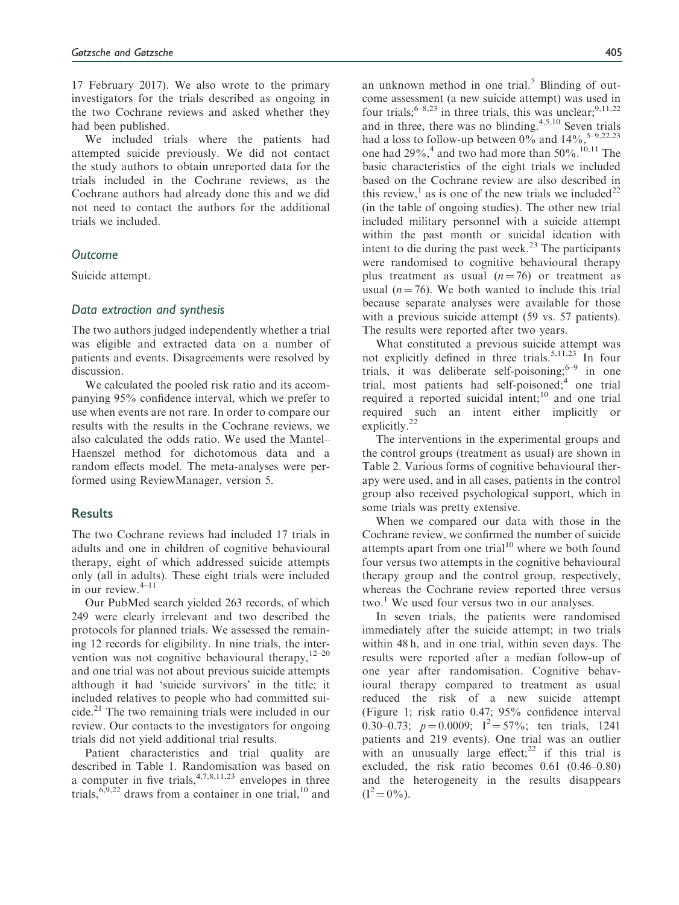17 February 2017). We also wrote to the primary investigators for the trials described as ongoing in the two Cochrane reviews and asked whether they had been published.

We included trials where the patients had attempted suicide previously. We did not contact the study authors to obtain unreported data for the trials included in the Cochrane reviews, as the Cochrane authors had already done this and we did not need to contact the authors for the additional trials we included.

#### **Outcome**

Suicide attempt.

#### Data extraction and synthesis

The two authors judged independently whether a trial was eligible and extracted data on a number of patients and events. Disagreements were resolved by discussion.

We calculated the pooled risk ratio and its accompanying 95% confidence interval, which we prefer to use when events are not rare. In order to compare our results with the results in the Cochrane reviews, we also calculated the odds ratio. We used the Mantel– Haenszel method for dichotomous data and a random effects model. The meta-analyses were performed using ReviewManager, version 5.

## **Results**

The two Cochrane reviews had included 17 trials in adults and one in children of cognitive behavioural therapy, eight of which addressed suicide attempts only (all in adults). These eight trials were included in our review. $4-11$ 

Our PubMed search yielded 263 records, of which 249 were clearly irrelevant and two described the protocols for planned trials. We assessed the remaining 12 records for eligibility. In nine trials, the intervention was not cognitive behavioural therapy,  $12-20$ and one trial was not about previous suicide attempts although it had 'suicide survivors' in the title; it included relatives to people who had committed suicide.<sup>21</sup> The two remaining trials were included in our review. Our contacts to the investigators for ongoing trials did not yield additional trial results.

Patient characteristics and trial quality are described in Table 1. Randomisation was based on a computer in five trials,  $4,7,8,11,23$  envelopes in three trials,  $6,9,22$  draws from a container in one trial,  $10$  and an unknown method in one trial.<sup>5</sup> Blinding of outcome assessment (a new suicide attempt) was used in four trials;  $6-8,23$  in three trials, this was unclear;  $9,11,22$ and in three, there was no blinding. $4,5,10$  Seven trials had a loss to follow-up between  $0\%$  and  $14\%$ , <sup>5-9,22,23</sup> one had  $29\%,^4$  and two had more than 50%.<sup>10,11</sup> The basic characteristics of the eight trials we included based on the Cochrane review are also described in this review,<sup>1</sup> as is one of the new trials we included<sup>22</sup> (in the table of ongoing studies). The other new trial included military personnel with a suicide attempt within the past month or suicidal ideation with intent to die during the past week.<sup>23</sup> The participants were randomised to cognitive behavioural therapy plus treatment as usual  $(n = 76)$  or treatment as usual ( $n = 76$ ). We both wanted to include this trial because separate analyses were available for those with a previous suicide attempt (59 vs. 57 patients). The results were reported after two years.

What constituted a previous suicide attempt was not explicitly defined in three trials.<sup>5,11,23</sup> In four trials, it was deliberate self-poisoning; $6-9$  in one trial, most patients had self-poisoned;<sup>4</sup> one trial required a reported suicidal intent; $10$  and one trial required such an intent either implicitly or explicitly.<sup>22</sup>

The interventions in the experimental groups and the control groups (treatment as usual) are shown in Table 2. Various forms of cognitive behavioural therapy were used, and in all cases, patients in the control group also received psychological support, which in some trials was pretty extensive.

When we compared our data with those in the Cochrane review, we confirmed the number of suicide attempts apart from one trial $10$  where we both found four versus two attempts in the cognitive behavioural therapy group and the control group, respectively, whereas the Cochrane review reported three versus two.<sup>1</sup> We used four versus two in our analyses.

In seven trials, the patients were randomised immediately after the suicide attempt; in two trials within 48 h, and in one trial, within seven days. The results were reported after a median follow-up of one year after randomisation. Cognitive behavioural therapy compared to treatment as usual reduced the risk of a new suicide attempt (Figure 1; risk ratio 0.47; 95% confidence interval 0.30–0.73;  $p = 0.0009$ ;  $I^2 = 57\%$ ; ten trials, 1241 patients and 219 events). One trial was an outlier with an unusually large effect; $^{22}$  if this trial is excluded, the risk ratio becomes 0.61 (0.46–0.80) and the heterogeneity in the results disappears  $(I^2 = 0\%)$ .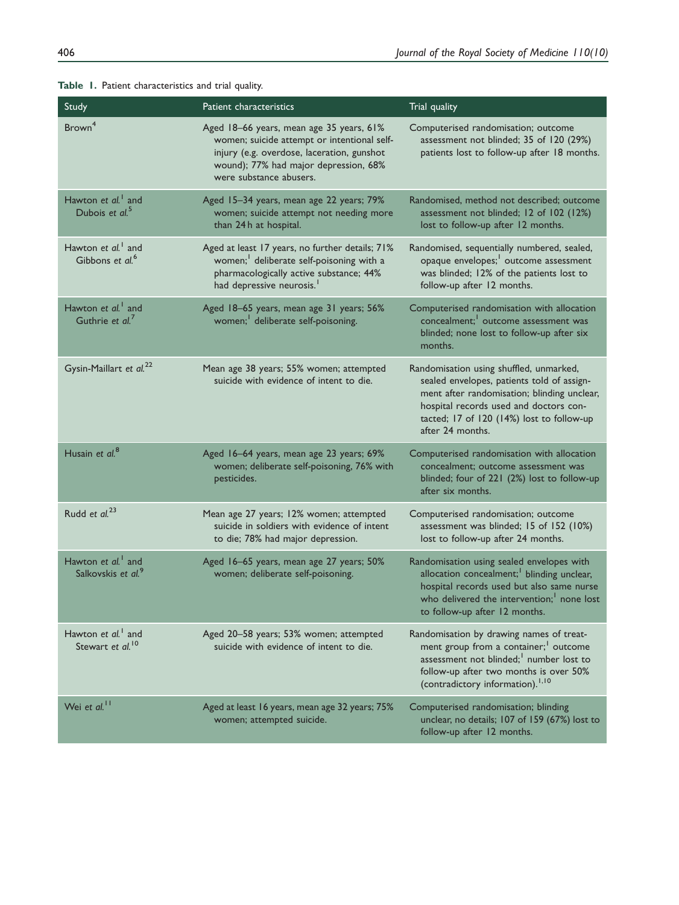| Study                                                            | Patient characteristics                                                                                                                                                                                   | Trial quality                                                                                                                                                                                                                                   |
|------------------------------------------------------------------|-----------------------------------------------------------------------------------------------------------------------------------------------------------------------------------------------------------|-------------------------------------------------------------------------------------------------------------------------------------------------------------------------------------------------------------------------------------------------|
| Brown <sup>4</sup>                                               | Aged 18-66 years, mean age 35 years, 61%<br>women; suicide attempt or intentional self-<br>injury (e.g. overdose, laceration, gunshot<br>wound); 77% had major depression, 68%<br>were substance abusers. | Computerised randomisation; outcome<br>assessment not blinded; 35 of 120 (29%)<br>patients lost to follow-up after 18 months.                                                                                                                   |
| Hawton et al. <sup>1</sup> and<br>Dubois et $al5$                | Aged 15-34 years, mean age 22 years; 79%<br>women; suicide attempt not needing more<br>than 24h at hospital.                                                                                              | Randomised, method not described; outcome<br>assessment not blinded; 12 of 102 (12%)<br>lost to follow-up after 12 months.                                                                                                                      |
| Hawton et al. <sup>1</sup> and<br>Gibbons et al. <sup>6</sup>    | Aged at least 17 years, no further details; 71%<br>women; <sup>1</sup> deliberate self-poisoning with a<br>pharmacologically active substance; 44%<br>had depressive neurosis. <sup>1</sup>               | Randomised, sequentially numbered, sealed,<br>opaque envelopes; <sup>1</sup> outcome assessment<br>was blinded; 12% of the patients lost to<br>follow-up after 12 months.                                                                       |
| Hawton et al. <sup>1</sup> and<br>Guthrie et al. <sup>7</sup>    | Aged 18-65 years, mean age 31 years; 56%<br>women; <sup>1</sup> deliberate self-poisoning.                                                                                                                | Computerised randomisation with allocation<br>concealment; outcome assessment was<br>blinded; none lost to follow-up after six<br>months.                                                                                                       |
| Gysin-Maillart et al. <sup>22</sup>                              | Mean age 38 years; 55% women; attempted<br>suicide with evidence of intent to die.                                                                                                                        | Randomisation using shuffled, unmarked,<br>sealed envelopes, patients told of assign-<br>ment after randomisation; blinding unclear,<br>hospital records used and doctors con-<br>tacted; 17 of 120 (14%) lost to follow-up<br>after 24 months. |
| Husain et al. <sup>8</sup>                                       | Aged 16-64 years, mean age 23 years; 69%<br>women; deliberate self-poisoning, 76% with<br>pesticides.                                                                                                     | Computerised randomisation with allocation<br>concealment; outcome assessment was<br>blinded; four of 221 (2%) lost to follow-up<br>after six months.                                                                                           |
| Rudd et al. <sup>23</sup>                                        | Mean age 27 years; 12% women; attempted<br>suicide in soldiers with evidence of intent<br>to die; 78% had major depression.                                                                               | Computerised randomisation; outcome<br>assessment was blinded; 15 of 152 (10%)<br>lost to follow-up after 24 months.                                                                                                                            |
| Hawton et al. <sup>1</sup> and<br>Salkovskis et al. <sup>9</sup> | Aged 16-65 years, mean age 27 years; 50%<br>women; deliberate self-poisoning.                                                                                                                             | Randomisation using sealed envelopes with<br>allocation concealment; <sup>1</sup> blinding unclear,<br>hospital records used but also same nurse<br>who delivered the intervention; <sup>1</sup> none lost<br>to follow-up after 12 months.     |
| Hawton et al. <sup>1</sup> and<br>Stewart et al. <sup>10</sup>   | Aged 20-58 years; 53% women; attempted<br>suicide with evidence of intent to die.                                                                                                                         | Randomisation by drawing names of treat-<br>ment group from a container; <sup>1</sup> outcome<br>assessment not blinded; <sup>1</sup> number lost to<br>follow-up after two months is over 50%<br>(contradictory information). <sup>1,10</sup>  |
| Wei et al. <sup>11</sup>                                         | Aged at least 16 years, mean age 32 years; 75%<br>women; attempted suicide.                                                                                                                               | Computerised randomisation; blinding<br>unclear, no details; 107 of 159 (67%) lost to<br>follow-up after 12 months.                                                                                                                             |

Table 1. Patient characteristics and trial quality.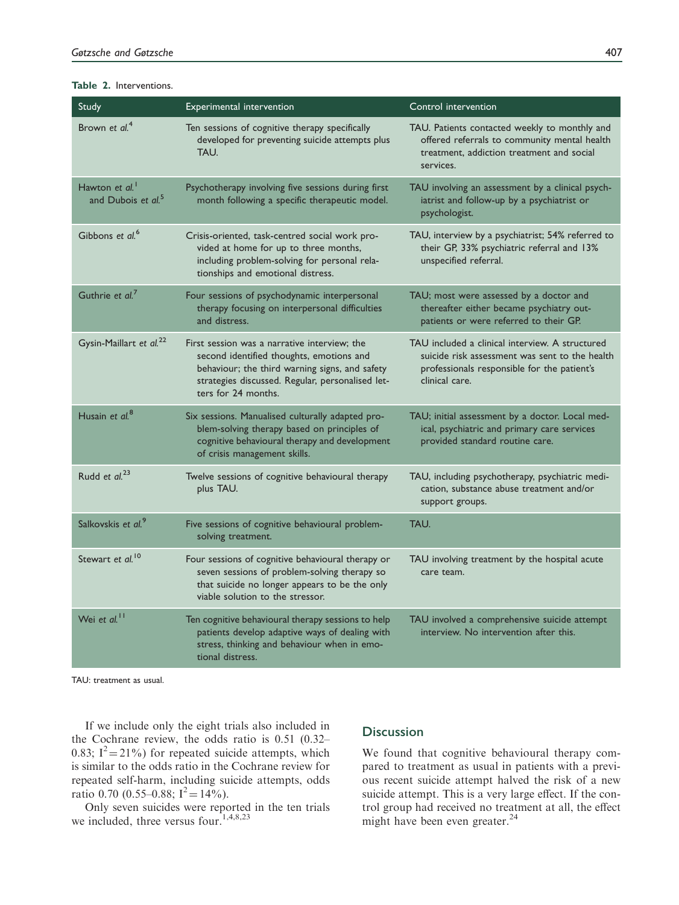| Study                                                        | Experimental intervention                                                                                                                                                                                             | Control intervention                                                                                                                                               |
|--------------------------------------------------------------|-----------------------------------------------------------------------------------------------------------------------------------------------------------------------------------------------------------------------|--------------------------------------------------------------------------------------------------------------------------------------------------------------------|
| Brown et $al4$                                               | Ten sessions of cognitive therapy specifically<br>developed for preventing suicide attempts plus<br>TAU.                                                                                                              | TAU. Patients contacted weekly to monthly and<br>offered referrals to community mental health<br>treatment, addiction treatment and social<br>services.            |
| Hawton et al. <sup>1</sup><br>and Dubois et al. <sup>5</sup> | Psychotherapy involving five sessions during first<br>month following a specific therapeutic model.                                                                                                                   | TAU involving an assessment by a clinical psych-<br>iatrist and follow-up by a psychiatrist or<br>psychologist.                                                    |
| Gibbons et al. <sup>6</sup>                                  | Crisis-oriented, task-centred social work pro-<br>vided at home for up to three months,<br>including problem-solving for personal rela-<br>tionships and emotional distress.                                          | TAU, interview by a psychiatrist; 54% referred to<br>their GP, 33% psychiatric referral and 13%<br>unspecified referral.                                           |
| Guthrie et al.                                               | Four sessions of psychodynamic interpersonal<br>therapy focusing on interpersonal difficulties<br>and distress.                                                                                                       | TAU; most were assessed by a doctor and<br>thereafter either became psychiatry out-<br>patients or were referred to their GP.                                      |
| Gysin-Maillart et al. <sup>22</sup>                          | First session was a narrative interview; the<br>second identified thoughts, emotions and<br>behaviour; the third warning signs, and safety<br>strategies discussed. Regular, personalised let-<br>ters for 24 months. | TAU included a clinical interview. A structured<br>suicide risk assessment was sent to the health<br>professionals responsible for the patient's<br>clinical care. |
| Husain et al. <sup>8</sup>                                   | Six sessions. Manualised culturally adapted pro-<br>blem-solving therapy based on principles of<br>cognitive behavioural therapy and development<br>of crisis management skills.                                      | TAU; initial assessment by a doctor. Local med-<br>ical, psychiatric and primary care services<br>provided standard routine care.                                  |
| Rudd et al. <sup>23</sup>                                    | Twelve sessions of cognitive behavioural therapy<br>plus TAU.                                                                                                                                                         | TAU, including psychotherapy, psychiatric medi-<br>cation, substance abuse treatment and/or<br>support groups.                                                     |
| Salkovskis et al. <sup>9</sup>                               | Five sessions of cognitive behavioural problem-<br>solving treatment.                                                                                                                                                 | TAU.                                                                                                                                                               |
| Stewart et al. <sup>10</sup>                                 | Four sessions of cognitive behavioural therapy or<br>seven sessions of problem-solving therapy so<br>that suicide no longer appears to be the only<br>viable solution to the stressor.                                | TAU involving treatment by the hospital acute<br>care team.                                                                                                        |
| Wei et al. <sup>11</sup>                                     | Ten cognitive behavioural therapy sessions to help<br>patients develop adaptive ways of dealing with<br>stress, thinking and behaviour when in emo-<br>tional distress.                                               | TAU involved a comprehensive suicide attempt<br>interview. No intervention after this.                                                                             |

#### Table 2. Interventions.

TAU: treatment as usual.

If we include only the eight trials also included in the Cochrane review, the odds ratio is 0.51 (0.32– 0.83;  $I^2 = 21\%$ ) for repeated suicide attempts, which is similar to the odds ratio in the Cochrane review for repeated self-harm, including suicide attempts, odds ratio 0.70 (0.55–0.88;  $I^2 = 14\%$ ).

Only seven suicides were reported in the ten trials we included, three versus four.<sup>1,4,8,23</sup>

## **Discussion**

We found that cognitive behavioural therapy compared to treatment as usual in patients with a previous recent suicide attempt halved the risk of a new suicide attempt. This is a very large effect. If the control group had received no treatment at all, the effect might have been even greater.<sup>24</sup>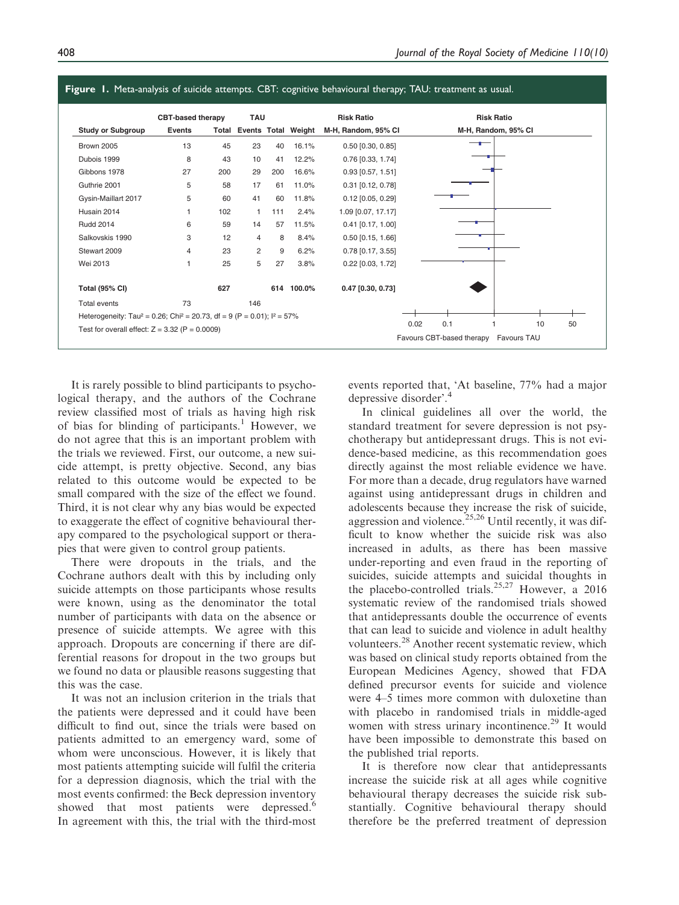

It is rarely possible to blind participants to psychological therapy, and the authors of the Cochrane review classified most of trials as having high risk of bias for blinding of participants.<sup>1</sup> However, we do not agree that this is an important problem with the trials we reviewed. First, our outcome, a new suicide attempt, is pretty objective. Second, any bias related to this outcome would be expected to be small compared with the size of the effect we found. Third, it is not clear why any bias would be expected to exaggerate the effect of cognitive behavioural therapy compared to the psychological support or therapies that were given to control group patients.

There were dropouts in the trials, and the Cochrane authors dealt with this by including only suicide attempts on those participants whose results were known, using as the denominator the total number of participants with data on the absence or presence of suicide attempts. We agree with this approach. Dropouts are concerning if there are differential reasons for dropout in the two groups but we found no data or plausible reasons suggesting that this was the case.

It was not an inclusion criterion in the trials that the patients were depressed and it could have been difficult to find out, since the trials were based on patients admitted to an emergency ward, some of whom were unconscious. However, it is likely that most patients attempting suicide will fulfil the criteria for a depression diagnosis, which the trial with the most events confirmed: the Beck depression inventory showed that most patients were depressed.<sup>6</sup> In agreement with this, the trial with the third-most events reported that, 'At baseline, 77% had a major depressive disorder'.

In clinical guidelines all over the world, the standard treatment for severe depression is not psychotherapy but antidepressant drugs. This is not evidence-based medicine, as this recommendation goes directly against the most reliable evidence we have. For more than a decade, drug regulators have warned against using antidepressant drugs in children and adolescents because they increase the risk of suicide, aggression and violence.<sup>25,26</sup> Until recently, it was difficult to know whether the suicide risk was also increased in adults, as there has been massive under-reporting and even fraud in the reporting of suicides, suicide attempts and suicidal thoughts in the placebo-controlled trials.<sup>25,27</sup> However, a 2016 systematic review of the randomised trials showed that antidepressants double the occurrence of events that can lead to suicide and violence in adult healthy volunteers.28 Another recent systematic review, which was based on clinical study reports obtained from the European Medicines Agency, showed that FDA defined precursor events for suicide and violence were 4–5 times more common with duloxetine than with placebo in randomised trials in middle-aged women with stress urinary incontinence.<sup>29</sup> It would have been impossible to demonstrate this based on the published trial reports.

It is therefore now clear that antidepressants increase the suicide risk at all ages while cognitive behavioural therapy decreases the suicide risk substantially. Cognitive behavioural therapy should therefore be the preferred treatment of depression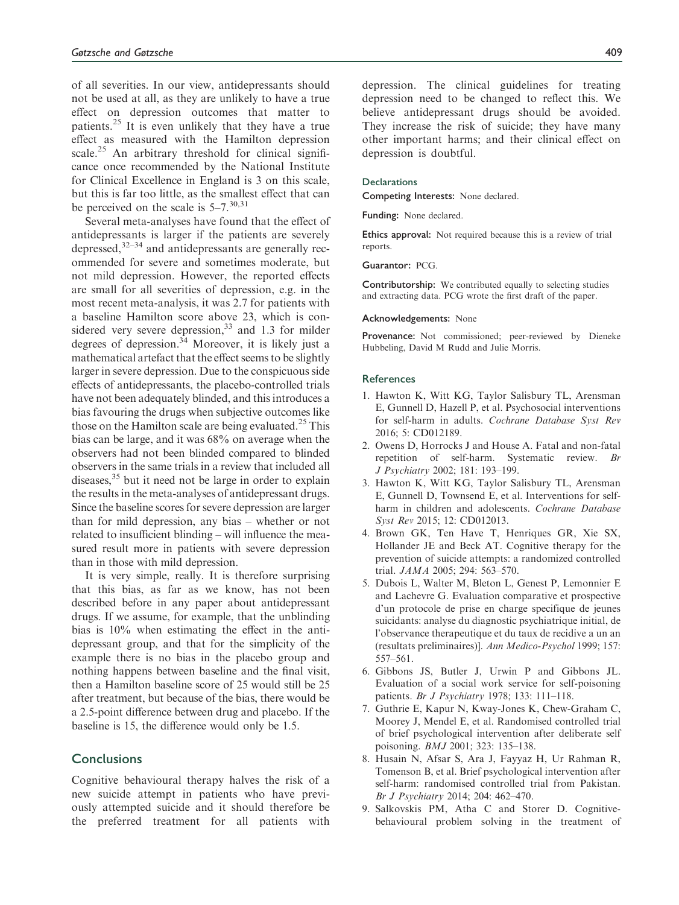of all severities. In our view, antidepressants should not be used at all, as they are unlikely to have a true effect on depression outcomes that matter to patients.<sup>25</sup> It is even unlikely that they have a true effect as measured with the Hamilton depression scale.<sup>25</sup> An arbitrary threshold for clinical significance once recommended by the National Institute for Clinical Excellence in England is 3 on this scale, but this is far too little, as the smallest effect that can be perceived on the scale is  $5-7$ .  $30,31$ 

Several meta-analyses have found that the effect of antidepressants is larger if the patients are severely depressed,32–34 and antidepressants are generally recommended for severe and sometimes moderate, but not mild depression. However, the reported effects are small for all severities of depression, e.g. in the most recent meta-analysis, it was 2.7 for patients with a baseline Hamilton score above 23, which is considered very severe depression,  $33$  and 1.3 for milder degrees of depression.<sup>34</sup> Moreover, it is likely just a mathematical artefact that the effect seems to be slightly larger in severe depression. Due to the conspicuous side effects of antidepressants, the placebo-controlled trials have not been adequately blinded, and this introduces a bias favouring the drugs when subjective outcomes like those on the Hamilton scale are being evaluated.<sup>25</sup> This bias can be large, and it was 68% on average when the observers had not been blinded compared to blinded observers in the same trials in a review that included all diseases, $35$  but it need not be large in order to explain the results in the meta-analyses of antidepressant drugs. Since the baseline scores for severe depression are larger than for mild depression, any bias – whether or not related to insufficient blinding – will influence the measured result more in patients with severe depression than in those with mild depression.

It is very simple, really. It is therefore surprising that this bias, as far as we know, has not been described before in any paper about antidepressant drugs. If we assume, for example, that the unblinding bias is 10% when estimating the effect in the antidepressant group, and that for the simplicity of the example there is no bias in the placebo group and nothing happens between baseline and the final visit, then a Hamilton baseline score of 25 would still be 25 after treatment, but because of the bias, there would be a 2.5-point difference between drug and placebo. If the baseline is 15, the difference would only be 1.5.

#### **Conclusions**

Cognitive behavioural therapy halves the risk of a new suicide attempt in patients who have previously attempted suicide and it should therefore be the preferred treatment for all patients with depression. The clinical guidelines for treating depression need to be changed to reflect this. We believe antidepressant drugs should be avoided. They increase the risk of suicide; they have many other important harms; and their clinical effect on depression is doubtful.

#### **Declarations**

Competing Interests: None declared.

Funding: None declared.

Ethics approval: Not required because this is a review of trial reports.

Guarantor: PCG.

Contributorship: We contributed equally to selecting studies and extracting data. PCG wrote the first draft of the paper.

#### Acknowledgements: None

Provenance: Not commissioned; peer-reviewed by Dieneke Hubbeling, David M Rudd and Julie Morris.

#### **References**

- 1. Hawton K, Witt KG, Taylor Salisbury TL, Arensman E, Gunnell D, Hazell P, et al. Psychosocial interventions for self-harm in adults. Cochrane Database Syst Rev 2016; 5: CD012189.
- 2. Owens D, Horrocks J and House A. Fatal and non-fatal repetition of self-harm. Systematic review. Br J Psychiatry 2002; 181: 193–199.
- 3. Hawton K, Witt KG, Taylor Salisbury TL, Arensman E, Gunnell D, Townsend E, et al. Interventions for selfharm in children and adolescents. Cochrane Database Syst Rev 2015; 12: CD012013.
- 4. Brown GK, Ten Have T, Henriques GR, Xie SX, Hollander JE and Beck AT. Cognitive therapy for the prevention of suicide attempts: a randomized controlled trial. JAMA 2005; 294: 563–570.
- 5. Dubois L, Walter M, Bleton L, Genest P, Lemonnier E and Lachevre G. Evaluation comparative et prospective d'un protocole de prise en charge specifique de jeunes suicidants: analyse du diagnostic psychiatrique initial, de l'observance therapeutique et du taux de recidive a un an (resultats preliminaires)]. Ann Medico-Psychol 1999; 157: 557–561.
- 6. Gibbons JS, Butler J, Urwin P and Gibbons JL. Evaluation of a social work service for self-poisoning patients. Br J Psychiatry 1978; 133: 111–118.
- 7. Guthrie E, Kapur N, Kway-Jones K, Chew-Graham C, Moorey J, Mendel E, et al. Randomised controlled trial of brief psychological intervention after deliberate self poisoning. BMJ 2001; 323: 135–138.
- 8. Husain N, Afsar S, Ara J, Fayyaz H, Ur Rahman R, Tomenson B, et al. Brief psychological intervention after self-harm: randomised controlled trial from Pakistan. Br J Psychiatry 2014; 204: 462–470.
- 9. Salkovskis PM, Atha C and Storer D. Cognitivebehavioural problem solving in the treatment of